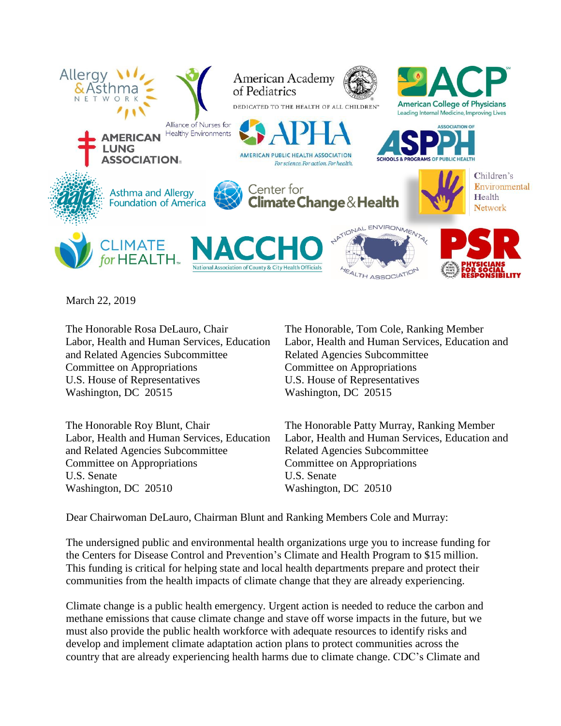

March 22, 2019

The Honorable Rosa DeLauro, Chair Labor, Health and Human Services, Education and Related Agencies Subcommittee Committee on Appropriations U.S. House of Representatives Washington, DC 20515

The Honorable Roy Blunt, Chair Labor, Health and Human Services, Education and Related Agencies Subcommittee Committee on Appropriations U.S. Senate Washington, DC 20510

The Honorable, Tom Cole, Ranking Member Labor, Health and Human Services, Education and Related Agencies Subcommittee Committee on Appropriations U.S. House of Representatives Washington, DC 20515

The Honorable Patty Murray, Ranking Member Labor, Health and Human Services, Education and Related Agencies Subcommittee Committee on Appropriations U.S. Senate Washington, DC 20510

Dear Chairwoman DeLauro, Chairman Blunt and Ranking Members Cole and Murray:

The undersigned public and environmental health organizations urge you to increase funding for the Centers for Disease Control and Prevention's Climate and Health Program to \$15 million. This funding is critical for helping state and local health departments prepare and protect their communities from the health impacts of climate change that they are already experiencing.

Climate change is a public health emergency. Urgent action is needed to reduce the carbon and methane emissions that cause climate change and stave off worse impacts in the future, but we must also provide the public health workforce with adequate resources to identify risks and develop and implement climate adaptation action plans to protect communities across the country that are already experiencing health harms due to climate change. CDC's Climate and